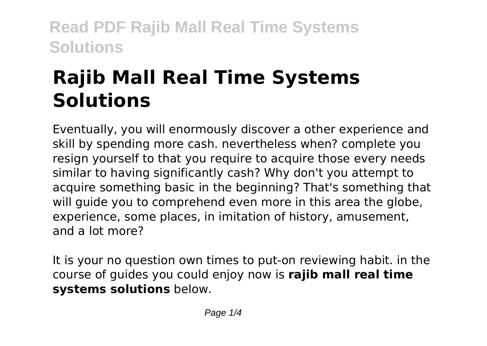# **Rajib Mall Real Time Systems Solutions**

Eventually, you will enormously discover a other experience and skill by spending more cash. nevertheless when? complete you resign yourself to that you require to acquire those every needs similar to having significantly cash? Why don't you attempt to acquire something basic in the beginning? That's something that will guide you to comprehend even more in this area the globe, experience, some places, in imitation of history, amusement, and a lot more?

It is your no question own times to put-on reviewing habit. in the course of guides you could enjoy now is **rajib mall real time systems solutions** below.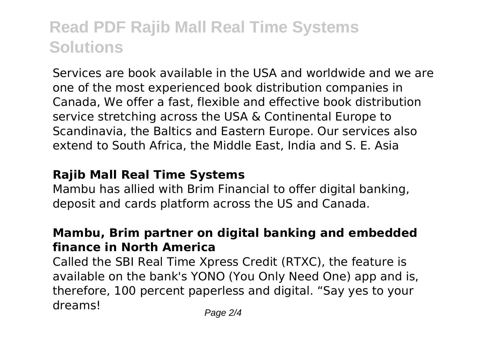Services are book available in the USA and worldwide and we are one of the most experienced book distribution companies in Canada, We offer a fast, flexible and effective book distribution service stretching across the USA & Continental Europe to Scandinavia, the Baltics and Eastern Europe. Our services also extend to South Africa, the Middle East, India and S. E. Asia

### **Rajib Mall Real Time Systems**

Mambu has allied with Brim Financial to offer digital banking, deposit and cards platform across the US and Canada.

## **Mambu, Brim partner on digital banking and embedded finance in North America**

Called the SBI Real Time Xpress Credit (RTXC), the feature is available on the bank's YONO (You Only Need One) app and is, therefore, 100 percent paperless and digital. "Say yes to your dreams! Page 2/4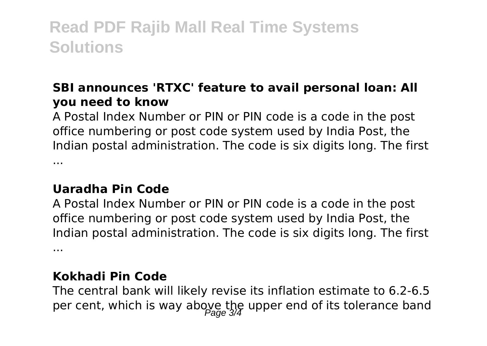## **SBI announces 'RTXC' feature to avail personal loan: All you need to know**

A Postal Index Number or PIN or PIN code is a code in the post office numbering or post code system used by India Post, the Indian postal administration. The code is six digits long. The first ...

#### **Uaradha Pin Code**

A Postal Index Number or PIN or PIN code is a code in the post office numbering or post code system used by India Post, the Indian postal administration. The code is six digits long. The first ...

#### **Kokhadi Pin Code**

The central bank will likely revise its inflation estimate to 6.2-6.5 per cent, which is way above the upper end of its tolerance band